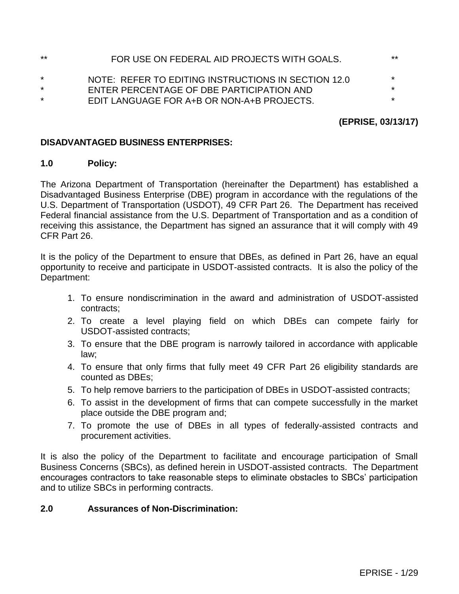| **      | FOR USE ON FEDERAL AID PROJECTS WITH GOALS.         | $**$    |
|---------|-----------------------------------------------------|---------|
| $\star$ | NOTE: REFER TO EDITING INSTRUCTIONS IN SECTION 12.0 | $\star$ |
| $\star$ | ENTER PERCENTAGE OF DBE PARTICIPATION AND           | $\ast$  |
| $\star$ | EDIT LANGUAGE FOR A+B OR NON-A+B PROJECTS.          | $\star$ |

# **(EPRISE, 03/13/17)**

## **DISADVANTAGED BUSINESS ENTERPRISES:**

### **1.0 Policy:**

The Arizona Department of Transportation (hereinafter the Department) has established a Disadvantaged Business Enterprise (DBE) program in accordance with the regulations of the U.S. Department of Transportation (USDOT), 49 CFR Part 26. The Department has received Federal financial assistance from the U.S. Department of Transportation and as a condition of receiving this assistance, the Department has signed an assurance that it will comply with 49 CFR Part 26.

It is the policy of the Department to ensure that DBEs, as defined in Part 26, have an equal opportunity to receive and participate in USDOT-assisted contracts. It is also the policy of the Department:

- 1. To ensure nondiscrimination in the award and administration of USDOT-assisted contracts;
- 2. To create a level playing field on which DBEs can compete fairly for USDOT-assisted contracts;
- 3. To ensure that the DBE program is narrowly tailored in accordance with applicable law;
- 4. To ensure that only firms that fully meet 49 CFR Part 26 eligibility standards are counted as DBEs;
- 5. To help remove barriers to the participation of DBEs in USDOT-assisted contracts;
- 6. To assist in the development of firms that can compete successfully in the market place outside the DBE program and;
- 7. To promote the use of DBEs in all types of federally-assisted contracts and procurement activities.

It is also the policy of the Department to facilitate and encourage participation of Small Business Concerns (SBCs), as defined herein in USDOT-assisted contracts. The Department encourages contractors to take reasonable steps to eliminate obstacles to SBCs' participation and to utilize SBCs in performing contracts.

# **2.0 Assurances of Non-Discrimination:**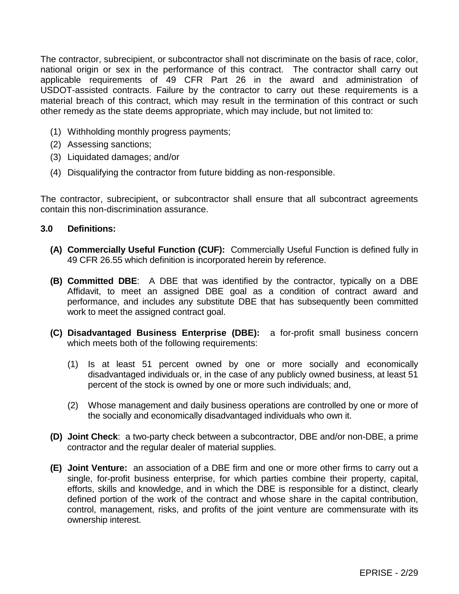The contractor, subrecipient, or subcontractor shall not discriminate on the basis of race, color, national origin or sex in the performance of this contract. The contractor shall carry out applicable requirements of 49 CFR Part 26 in the award and administration of USDOT-assisted contracts. Failure by the contractor to carry out these requirements is a material breach of this contract, which may result in the termination of this contract or such other remedy as the state deems appropriate, which may include, but not limited to:

- (1) Withholding monthly progress payments;
- (2) Assessing sanctions;
- (3) Liquidated damages; and/or
- (4) Disqualifying the contractor from future bidding as non-responsible.

The contractor, subrecipient**,** or subcontractor shall ensure that all subcontract agreements contain this non-discrimination assurance.

### **3.0 Definitions:**

- **(A) Commercially Useful Function (CUF):** Commercially Useful Function is defined fully in 49 CFR 26.55 which definition is incorporated herein by reference.
- **(B) Committed DBE**: A DBE that was identified by the contractor, typically on a DBE Affidavit, to meet an assigned DBE goal as a condition of contract award and performance, and includes any substitute DBE that has subsequently been committed work to meet the assigned contract goal.
- **(C) Disadvantaged Business Enterprise (DBE):** a for-profit small business concern which meets both of the following requirements:
	- (1) Is at least 51 percent owned by one or more socially and economically disadvantaged individuals or, in the case of any publicly owned business, at least 51 percent of the stock is owned by one or more such individuals; and,
	- (2) Whose management and daily business operations are controlled by one or more of the socially and economically disadvantaged individuals who own it.
- **(D) Joint Check**: a two-party check between a subcontractor, DBE and/or non-DBE, a prime contractor and the regular dealer of material supplies.
- **(E) Joint Venture:** an association of a DBE firm and one or more other firms to carry out a single, for-profit business enterprise, for which parties combine their property, capital, efforts, skills and knowledge, and in which the DBE is responsible for a distinct, clearly defined portion of the work of the contract and whose share in the capital contribution, control, management, risks, and profits of the joint venture are commensurate with its ownership interest.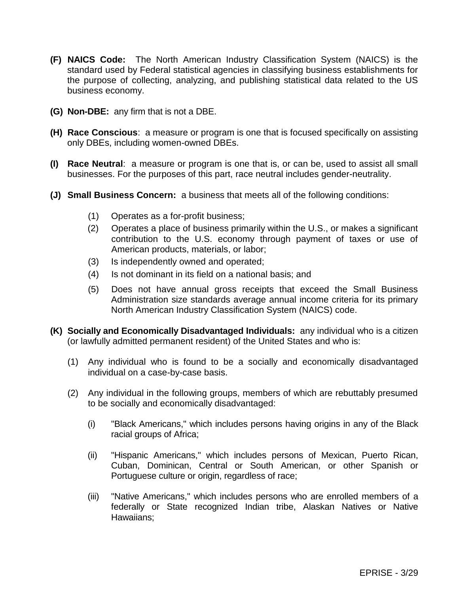- **(F) NAICS Code:** The North American Industry Classification System (NAICS) is the standard used by Federal statistical agencies in classifying business establishments for the purpose of collecting, analyzing, and publishing statistical data related to the US business economy.
- **(G) Non-DBE:** any firm that is not a DBE.
- **(H) Race Conscious**: a measure or program is one that is focused specifically on assisting only DBEs, including women-owned DBEs.
- **(I) Race Neutral**: a measure or program is one that is, or can be, used to assist all small businesses. For the purposes of this part, race neutral includes gender-neutrality.
- **(J) Small Business Concern:** a business that meets all of the following conditions:
	- (1) Operates as a for-profit business;
	- (2) Operates a place of business primarily within the U.S., or makes a significant contribution to the U.S. economy through payment of taxes or use of American products, materials, or labor;
	- (3) Is independently owned and operated;
	- (4) Is not dominant in its field on a national basis; and
	- (5) Does not have annual gross receipts that exceed the Small Business Administration size standards average annual income criteria for its primary North American Industry Classification System (NAICS) code.
- **(K) Socially and Economically Disadvantaged Individuals:** any individual who is a citizen (or lawfully admitted permanent resident) of the United States and who is:
	- (1) Any individual who is found to be a socially and economically disadvantaged individual on a case-by-case basis.
	- (2) Any individual in the following groups, members of which are rebuttably presumed to be socially and economically disadvantaged:
		- (i) "Black Americans," which includes persons having origins in any of the Black racial groups of Africa;
		- (ii) "Hispanic Americans," which includes persons of Mexican, Puerto Rican, Cuban, Dominican, Central or South American, or other Spanish or Portuguese culture or origin, regardless of race;
		- (iii) "Native Americans," which includes persons who are enrolled members of a federally or State recognized Indian tribe, Alaskan Natives or Native Hawaiians;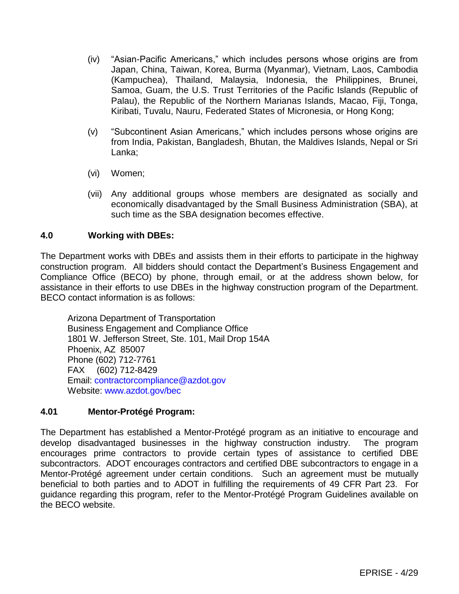- (iv) "Asian-Pacific Americans," which includes persons whose origins are from Japan, China, Taiwan, Korea, Burma (Myanmar), Vietnam, Laos, Cambodia (Kampuchea), Thailand, Malaysia, Indonesia, the Philippines, Brunei, Samoa, Guam, the U.S. Trust Territories of the Pacific Islands (Republic of Palau), the Republic of the Northern Marianas Islands, Macao, Fiji, Tonga, Kiribati, Tuvalu, Nauru, Federated States of Micronesia, or Hong Kong;
- (v) "Subcontinent Asian Americans," which includes persons whose origins are from India, Pakistan, Bangladesh, Bhutan, the Maldives Islands, Nepal or Sri Lanka;
- (vi) Women;
- (vii) Any additional groups whose members are designated as socially and economically disadvantaged by the Small Business Administration (SBA), at such time as the SBA designation becomes effective.

## **4.0 Working with DBEs:**

The Department works with DBEs and assists them in their efforts to participate in the highway construction program. All bidders should contact the Department's Business Engagement and Compliance Office (BECO) by phone, through email, or at the address shown below, for assistance in their efforts to use DBEs in the highway construction program of the Department. BECO contact information is as follows:

Arizona Department of Transportation Business Engagement and Compliance Office 1801 W. Jefferson Street, Ste. 101, Mail Drop 154A Phoenix, AZ 85007 Phone (602) 712-7761 FAX (602) 712-8429 Email: [contractorcompliance@azdot.gov](mailto:contractorcompliance@azdot.gov) Website: [www.azdot.gov/bec](http://www.azdot.gov/bec)

### **4.01 Mentor-Protégé Program:**

The Department has established a Mentor-Protégé program as an initiative to encourage and develop disadvantaged businesses in the highway construction industry. The program encourages prime contractors to provide certain types of assistance to certified DBE subcontractors. ADOT encourages contractors and certified DBE subcontractors to engage in a Mentor-Protégé agreement under certain conditions. Such an agreement must be mutually beneficial to both parties and to ADOT in fulfilling the requirements of 49 CFR Part 23. For guidance regarding this program, refer to the Mentor-Protégé Program Guidelines available on the BECO website.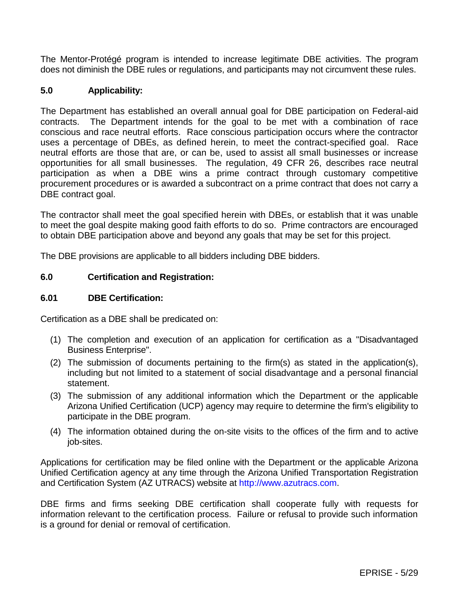The Mentor-Protégé program is intended to increase legitimate DBE activities. The program does not diminish the DBE rules or regulations, and participants may not circumvent these rules.

### **5.0 Applicability:**

The Department has established an overall annual goal for DBE participation on Federal-aid contracts. The Department intends for the goal to be met with a combination of race conscious and race neutral efforts. Race conscious participation occurs where the contractor uses a percentage of DBEs, as defined herein, to meet the contract-specified goal. Race neutral efforts are those that are, or can be, used to assist all small businesses or increase opportunities for all small businesses. The regulation, 49 CFR 26, describes race neutral participation as when a DBE wins a prime contract through customary competitive procurement procedures or is awarded a subcontract on a prime contract that does not carry a DBE contract goal.

The contractor shall meet the goal specified herein with DBEs, or establish that it was unable to meet the goal despite making good faith efforts to do so. Prime contractors are encouraged to obtain DBE participation above and beyond any goals that may be set for this project.

The DBE provisions are applicable to all bidders including DBE bidders.

### **6.0 Certification and Registration:**

#### **6.01 DBE Certification:**

Certification as a DBE shall be predicated on:

- (1) The completion and execution of an application for certification as a "Disadvantaged Business Enterprise".
- (2) The submission of documents pertaining to the firm(s) as stated in the application(s), including but not limited to a statement of social disadvantage and a personal financial statement.
- (3) The submission of any additional information which the Department or the applicable Arizona Unified Certification (UCP) agency may require to determine the firm's eligibility to participate in the DBE program.
- (4) The information obtained during the on-site visits to the offices of the firm and to active job-sites.

Applications for certification may be filed online with the Department or the applicable Arizona Unified Certification agency at any time through the Arizona Unified Transportation Registration and Certification System (AZ UTRACS) website at [http://www.azutracs.com.](http://www.azutracs.com/)

DBE firms and firms seeking DBE certification shall cooperate fully with requests for information relevant to the certification process. Failure or refusal to provide such information is a ground for denial or removal of certification.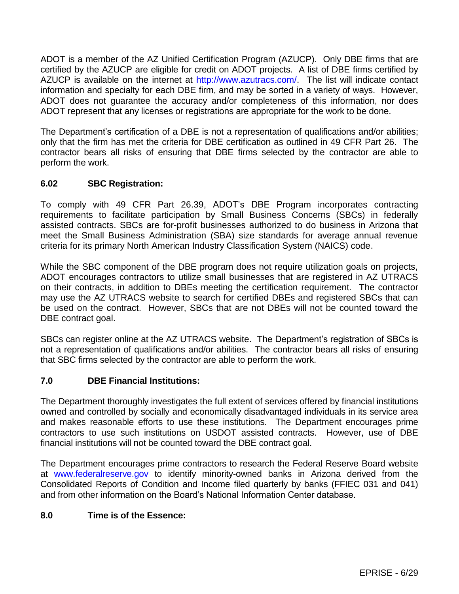ADOT is a member of the AZ Unified Certification Program (AZUCP). Only DBE firms that are certified by the AZUCP are eligible for credit on ADOT projects. A list of DBE firms certified by AZUCP is available on the internet at [http://www.azutracs.com/.](http://www.azutracs.com/) The list will indicate contact information and specialty for each DBE firm, and may be sorted in a variety of ways. However, ADOT does not guarantee the accuracy and/or completeness of this information, nor does ADOT represent that any licenses or registrations are appropriate for the work to be done.

The Department's certification of a DBE is not a representation of qualifications and/or abilities; only that the firm has met the criteria for DBE certification as outlined in 49 CFR Part 26. The contractor bears all risks of ensuring that DBE firms selected by the contractor are able to perform the work.

# **6.02 SBC Registration:**

To comply with 49 CFR Part 26.39, ADOT's DBE Program incorporates contracting requirements to facilitate participation by Small Business Concerns (SBCs) in federally assisted contracts. SBCs are for-profit businesses authorized to do business in Arizona that meet the Small Business Administration (SBA) size standards for average annual revenue criteria for its primary North American Industry Classification System (NAICS) code.

While the SBC component of the DBE program does not require utilization goals on projects, ADOT encourages contractors to utilize small businesses that are registered in AZ UTRACS on their contracts, in addition to DBEs meeting the certification requirement. The contractor may use the AZ UTRACS website to search for certified DBEs and registered SBCs that can be used on the contract. However, SBCs that are not DBEs will not be counted toward the DBE contract goal.

SBCs can register online at the AZ UTRACS website. The Department's registration of SBCs is not a representation of qualifications and/or abilities. The contractor bears all risks of ensuring that SBC firms selected by the contractor are able to perform the work.

### **7.0 DBE Financial Institutions:**

The Department thoroughly investigates the full extent of services offered by financial institutions owned and controlled by socially and economically disadvantaged individuals in its service area and makes reasonable efforts to use these institutions. The Department encourages prime contractors to use such institutions on USDOT assisted contracts. However, use of DBE financial institutions will not be counted toward the DBE contract goal.

The Department encourages prime contractors to research the Federal Reserve Board website at [www.federalreserve.gov](http://www.federalreserve.gov/) to identify minority-owned banks in Arizona derived from the Consolidated Reports of Condition and Income filed quarterly by banks (FFIEC 031 and 041) and from other information on the Board's National Information Center database.

# **8.0 Time is of the Essence:**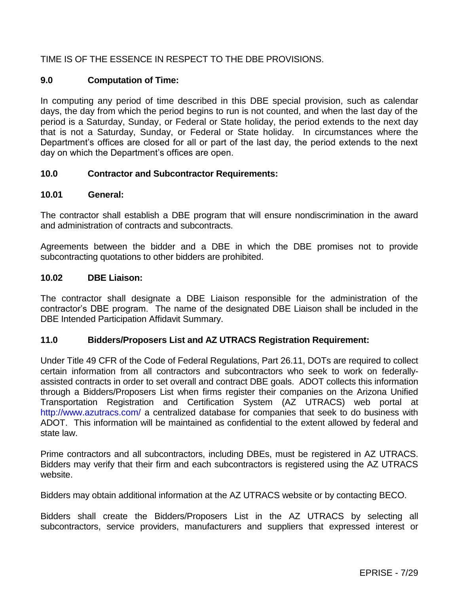# TIME IS OF THE ESSENCE IN RESPECT TO THE DBE PROVISIONS.

### **9.0 Computation of Time:**

In computing any period of time described in this DBE special provision, such as calendar days, the day from which the period begins to run is not counted, and when the last day of the period is a Saturday, Sunday, or Federal or State holiday, the period extends to the next day that is not a Saturday, Sunday, or Federal or State holiday. In circumstances where the Department's offices are closed for all or part of the last day, the period extends to the next day on which the Department's offices are open.

### **10.0 Contractor and Subcontractor Requirements:**

#### **10.01 General:**

The contractor shall establish a DBE program that will ensure nondiscrimination in the award and administration of contracts and subcontracts.

Agreements between the bidder and a DBE in which the DBE promises not to provide subcontracting quotations to other bidders are prohibited.

#### **10.02 DBE Liaison:**

The contractor shall designate a DBE Liaison responsible for the administration of the contractor's DBE program. The name of the designated DBE Liaison shall be included in the DBE Intended Participation Affidavit Summary.

#### **11.0 Bidders/Proposers List and AZ UTRACS Registration Requirement:**

Under Title 49 CFR of the Code of Federal Regulations, Part 26.11, DOTs are required to collect certain information from all contractors and subcontractors who seek to work on federallyassisted contracts in order to set overall and contract DBE goals. ADOT collects this information through a Bidders/Proposers List when firms register their companies on the Arizona Unified Transportation Registration and Certification System (AZ UTRACS) web portal at <http://www.azutracs.com/> a centralized database for companies that seek to do business with ADOT. This information will be maintained as confidential to the extent allowed by federal and state law.

Prime contractors and all subcontractors, including DBEs, must be registered in AZ UTRACS. Bidders may verify that their firm and each subcontractors is registered using the AZ UTRACS website.

Bidders may obtain additional information at the AZ UTRACS website or by contacting BECO.

Bidders shall create the Bidders/Proposers List in the AZ UTRACS by selecting all subcontractors, service providers, manufacturers and suppliers that expressed interest or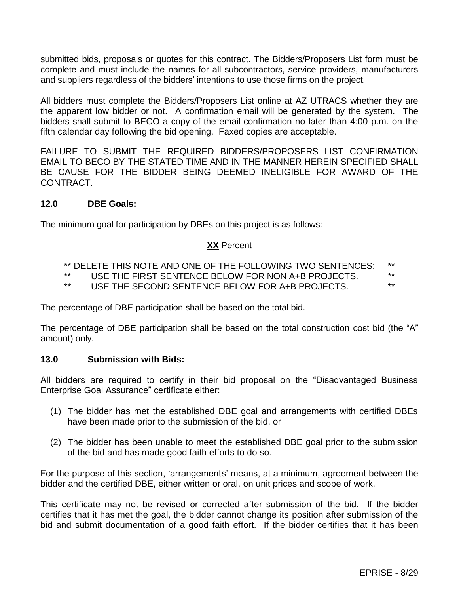submitted bids, proposals or quotes for this contract. The Bidders/Proposers List form must be complete and must include the names for all subcontractors, service providers, manufacturers and suppliers regardless of the bidders' intentions to use those firms on the project.

All bidders must complete the Bidders/Proposers List online at AZ UTRACS whether they are the apparent low bidder or not. A confirmation email will be generated by the system. The bidders shall submit to BECO a copy of the email confirmation no later than 4:00 p.m. on the fifth calendar day following the bid opening. Faxed copies are acceptable.

FAILURE TO SUBMIT THE REQUIRED BIDDERS/PROPOSERS LIST CONFIRMATION EMAIL TO BECO BY THE STATED TIME AND IN THE MANNER HEREIN SPECIFIED SHALL BE CAUSE FOR THE BIDDER BEING DEEMED INELIGIBLE FOR AWARD OF THE CONTRACT.

### **12.0 DBE Goals:**

The minimum goal for participation by DBEs on this project is as follows:

#### **XX** Percent

- \*\* DELETE THIS NOTE AND ONE OF THE FOLLOWING TWO SENTENCES: \*\*
- \*\* USE THE FIRST SENTENCE BELOW FOR NON A+B PROJECTS. \*\*
- USE THE SECOND SENTENCE BELOW FOR A+B PROJECTS.

The percentage of DBE participation shall be based on the total bid.

The percentage of DBE participation shall be based on the total construction cost bid (the "A" amount) only.

#### **13.0 Submission with Bids:**

All bidders are required to certify in their bid proposal on the "Disadvantaged Business Enterprise Goal Assurance" certificate either:

- (1) The bidder has met the established DBE goal and arrangements with certified DBEs have been made prior to the submission of the bid, or
- (2) The bidder has been unable to meet the established DBE goal prior to the submission of the bid and has made good faith efforts to do so.

For the purpose of this section, 'arrangements' means, at a minimum, agreement between the bidder and the certified DBE, either written or oral, on unit prices and scope of work.

This certificate may not be revised or corrected after submission of the bid. If the bidder certifies that it has met the goal, the bidder cannot change its position after submission of the bid and submit documentation of a good faith effort. If the bidder certifies that it has been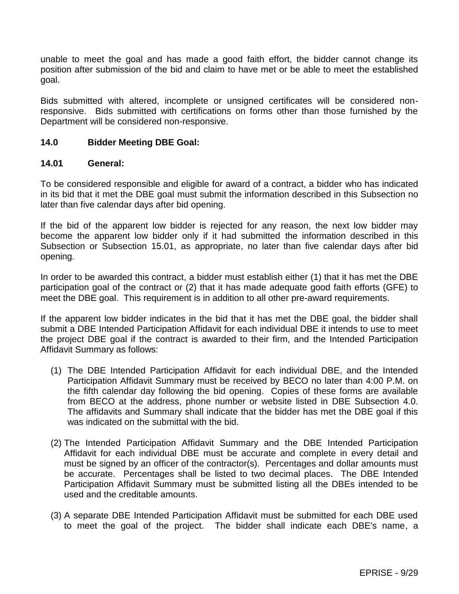unable to meet the goal and has made a good faith effort, the bidder cannot change its position after submission of the bid and claim to have met or be able to meet the established goal.

Bids submitted with altered, incomplete or unsigned certificates will be considered nonresponsive. Bids submitted with certifications on forms other than those furnished by the Department will be considered non-responsive.

#### **14.0 Bidder Meeting DBE Goal:**

#### **14.01 General:**

To be considered responsible and eligible for award of a contract, a bidder who has indicated in its bid that it met the DBE goal must submit the information described in this Subsection no later than five calendar days after bid opening.

If the bid of the apparent low bidder is rejected for any reason, the next low bidder may become the apparent low bidder only if it had submitted the information described in this Subsection or Subsection 15.01, as appropriate, no later than five calendar days after bid opening.

In order to be awarded this contract, a bidder must establish either (1) that it has met the DBE participation goal of the contract or (2) that it has made adequate good faith efforts (GFE) to meet the DBE goal. This requirement is in addition to all other pre-award requirements.

If the apparent low bidder indicates in the bid that it has met the DBE goal, the bidder shall submit a DBE Intended Participation Affidavit for each individual DBE it intends to use to meet the project DBE goal if the contract is awarded to their firm, and the Intended Participation Affidavit Summary as follows:

- (1) The DBE Intended Participation Affidavit for each individual DBE, and the Intended Participation Affidavit Summary must be received by BECO no later than 4:00 P.M. on the fifth calendar day following the bid opening. Copies of these forms are available from BECO at the address, phone number or website listed in DBE Subsection 4.0. The affidavits and Summary shall indicate that the bidder has met the DBE goal if this was indicated on the submittal with the bid.
- (2) The Intended Participation Affidavit Summary and the DBE Intended Participation Affidavit for each individual DBE must be accurate and complete in every detail and must be signed by an officer of the contractor(s). Percentages and dollar amounts must be accurate. Percentages shall be listed to two decimal places. The DBE Intended Participation Affidavit Summary must be submitted listing all the DBEs intended to be used and the creditable amounts.
- (3) A separate DBE Intended Participation Affidavit must be submitted for each DBE used to meet the goal of the project. The bidder shall indicate each DBE's name, a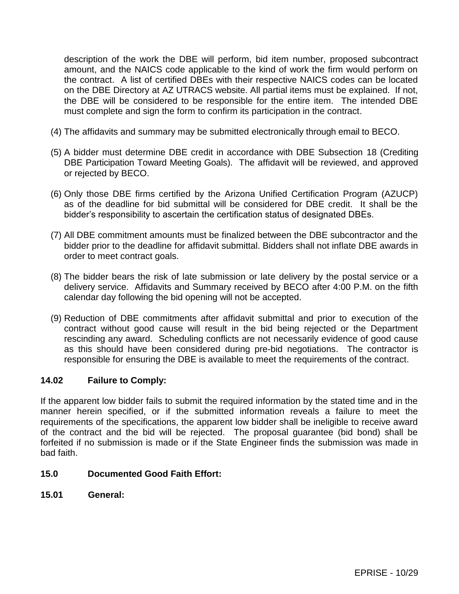description of the work the DBE will perform, bid item number, proposed subcontract amount, and the NAICS code applicable to the kind of work the firm would perform on the contract. A list of certified DBEs with their respective NAICS codes can be located on the DBE Directory at AZ UTRACS website. All partial items must be explained. If not, the DBE will be considered to be responsible for the entire item. The intended DBE must complete and sign the form to confirm its participation in the contract.

- (4) The affidavits and summary may be submitted electronically through email to BECO.
- (5) A bidder must determine DBE credit in accordance with DBE Subsection 18 (Crediting DBE Participation Toward Meeting Goals). The affidavit will be reviewed, and approved or rejected by BECO.
- (6) Only those DBE firms certified by the Arizona Unified Certification Program (AZUCP) as of the deadline for bid submittal will be considered for DBE credit. It shall be the bidder's responsibility to ascertain the certification status of designated DBEs.
- (7) All DBE commitment amounts must be finalized between the DBE subcontractor and the bidder prior to the deadline for affidavit submittal. Bidders shall not inflate DBE awards in order to meet contract goals.
- (8) The bidder bears the risk of late submission or late delivery by the postal service or a delivery service. Affidavits and Summary received by BECO after 4:00 P.M. on the fifth calendar day following the bid opening will not be accepted.
- (9) Reduction of DBE commitments after affidavit submittal and prior to execution of the contract without good cause will result in the bid being rejected or the Department rescinding any award. Scheduling conflicts are not necessarily evidence of good cause as this should have been considered during pre-bid negotiations. The contractor is responsible for ensuring the DBE is available to meet the requirements of the contract.

# **14.02 Failure to Comply:**

If the apparent low bidder fails to submit the required information by the stated time and in the manner herein specified, or if the submitted information reveals a failure to meet the requirements of the specifications, the apparent low bidder shall be ineligible to receive award of the contract and the bid will be rejected. The proposal guarantee (bid bond) shall be forfeited if no submission is made or if the State Engineer finds the submission was made in bad faith.

# **15.0 Documented Good Faith Effort:**

**15.01 General:**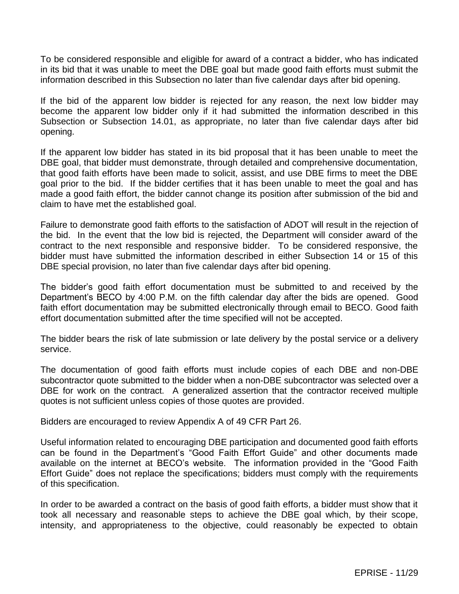To be considered responsible and eligible for award of a contract a bidder, who has indicated in its bid that it was unable to meet the DBE goal but made good faith efforts must submit the information described in this Subsection no later than five calendar days after bid opening.

If the bid of the apparent low bidder is rejected for any reason, the next low bidder may become the apparent low bidder only if it had submitted the information described in this Subsection or Subsection 14.01, as appropriate, no later than five calendar days after bid opening.

If the apparent low bidder has stated in its bid proposal that it has been unable to meet the DBE goal, that bidder must demonstrate, through detailed and comprehensive documentation, that good faith efforts have been made to solicit, assist, and use DBE firms to meet the DBE goal prior to the bid. If the bidder certifies that it has been unable to meet the goal and has made a good faith effort, the bidder cannot change its position after submission of the bid and claim to have met the established goal.

Failure to demonstrate good faith efforts to the satisfaction of ADOT will result in the rejection of the bid. In the event that the low bid is rejected, the Department will consider award of the contract to the next responsible and responsive bidder. To be considered responsive, the bidder must have submitted the information described in either Subsection 14 or 15 of this DBE special provision, no later than five calendar days after bid opening.

The bidder's good faith effort documentation must be submitted to and received by the Department's BECO by 4:00 P.M. on the fifth calendar day after the bids are opened. Good faith effort documentation may be submitted electronically through email to BECO. Good faith effort documentation submitted after the time specified will not be accepted.

The bidder bears the risk of late submission or late delivery by the postal service or a delivery service.

The documentation of good faith efforts must include copies of each DBE and non-DBE subcontractor quote submitted to the bidder when a non-DBE subcontractor was selected over a DBE for work on the contract. A generalized assertion that the contractor received multiple quotes is not sufficient unless copies of those quotes are provided.

Bidders are encouraged to review Appendix A of 49 CFR Part 26.

Useful information related to encouraging DBE participation and documented good faith efforts can be found in the Department's "Good Faith Effort Guide" and other documents made available on the internet at BECO's website. The information provided in the "Good Faith Effort Guide" does not replace the specifications; bidders must comply with the requirements of this specification.

In order to be awarded a contract on the basis of good faith efforts, a bidder must show that it took all necessary and reasonable steps to achieve the DBE goal which, by their scope, intensity, and appropriateness to the objective, could reasonably be expected to obtain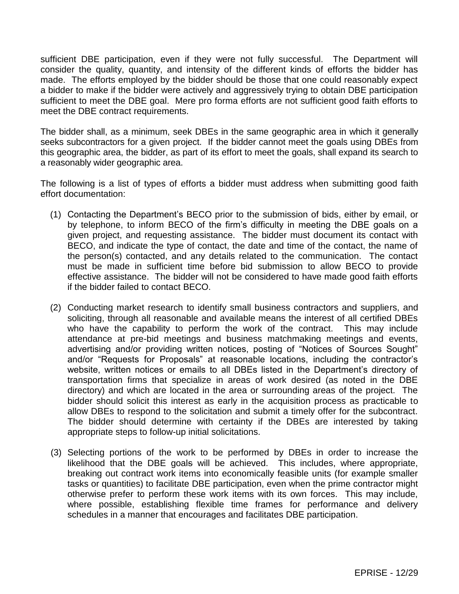sufficient DBE participation, even if they were not fully successful. The Department will consider the quality, quantity, and intensity of the different kinds of efforts the bidder has made. The efforts employed by the bidder should be those that one could reasonably expect a bidder to make if the bidder were actively and aggressively trying to obtain DBE participation sufficient to meet the DBE goal. Mere pro forma efforts are not sufficient good faith efforts to meet the DBE contract requirements.

The bidder shall, as a minimum, seek DBEs in the same geographic area in which it generally seeks subcontractors for a given project. If the bidder cannot meet the goals using DBEs from this geographic area, the bidder, as part of its effort to meet the goals, shall expand its search to a reasonably wider geographic area.

The following is a list of types of efforts a bidder must address when submitting good faith effort documentation:

- (1) Contacting the Department's BECO prior to the submission of bids, either by email, or by telephone, to inform BECO of the firm's difficulty in meeting the DBE goals on a given project, and requesting assistance. The bidder must document its contact with BECO, and indicate the type of contact, the date and time of the contact, the name of the person(s) contacted, and any details related to the communication. The contact must be made in sufficient time before bid submission to allow BECO to provide effective assistance. The bidder will not be considered to have made good faith efforts if the bidder failed to contact BECO.
- (2) Conducting market research to identify small business contractors and suppliers, and soliciting, through all reasonable and available means the interest of all certified DBEs who have the capability to perform the work of the contract. This may include attendance at pre-bid meetings and business matchmaking meetings and events, advertising and/or providing written notices, posting of "Notices of Sources Sought" and/or "Requests for Proposals" at reasonable locations, including the contractor's website, written notices or emails to all DBEs listed in the Department's directory of transportation firms that specialize in areas of work desired (as noted in the DBE directory) and which are located in the area or surrounding areas of the project. The bidder should solicit this interest as early in the acquisition process as practicable to allow DBEs to respond to the solicitation and submit a timely offer for the subcontract. The bidder should determine with certainty if the DBEs are interested by taking appropriate steps to follow-up initial solicitations.
- (3) Selecting portions of the work to be performed by DBEs in order to increase the likelihood that the DBE goals will be achieved. This includes, where appropriate, breaking out contract work items into economically feasible units (for example smaller tasks or quantities) to facilitate DBE participation, even when the prime contractor might otherwise prefer to perform these work items with its own forces. This may include, where possible, establishing flexible time frames for performance and delivery schedules in a manner that encourages and facilitates DBE participation.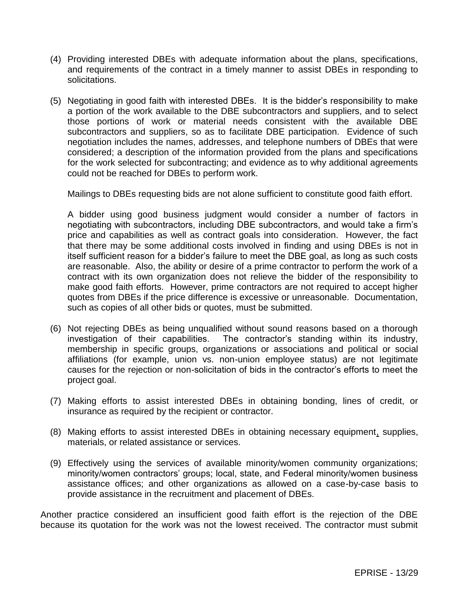- (4) Providing interested DBEs with adequate information about the plans, specifications, and requirements of the contract in a timely manner to assist DBEs in responding to solicitations.
- (5) Negotiating in good faith with interested DBEs. It is the bidder's responsibility to make a portion of the work available to the DBE subcontractors and suppliers, and to select those portions of work or material needs consistent with the available DBE subcontractors and suppliers, so as to facilitate DBE participation. Evidence of such negotiation includes the names, addresses, and telephone numbers of DBEs that were considered; a description of the information provided from the plans and specifications for the work selected for subcontracting; and evidence as to why additional agreements could not be reached for DBEs to perform work.

Mailings to DBEs requesting bids are not alone sufficient to constitute good faith effort.

A bidder using good business judgment would consider a number of factors in negotiating with subcontractors, including DBE subcontractors, and would take a firm's price and capabilities as well as contract goals into consideration. However, the fact that there may be some additional costs involved in finding and using DBEs is not in itself sufficient reason for a bidder's failure to meet the DBE goal, as long as such costs are reasonable. Also, the ability or desire of a prime contractor to perform the work of a contract with its own organization does not relieve the bidder of the responsibility to make good faith efforts. However, prime contractors are not required to accept higher quotes from DBEs if the price difference is excessive or unreasonable. Documentation, such as copies of all other bids or quotes, must be submitted.

- (6) Not rejecting DBEs as being unqualified without sound reasons based on a thorough investigation of their capabilities. The contractor's standing within its industry, membership in specific groups, organizations or associations and political or social affiliations (for example, union vs. non-union employee status) are not legitimate causes for the rejection or non-solicitation of bids in the contractor's efforts to meet the project goal.
- (7) Making efforts to assist interested DBEs in obtaining bonding, lines of credit, or insurance as required by the recipient or contractor.
- (8) Making efforts to assist interested DBEs in obtaining necessary equipment, supplies, materials, or related assistance or services.
- (9) Effectively using the services of available minority/women community organizations; minority/women contractors' groups; local, state, and Federal minority/women business assistance offices; and other organizations as allowed on a case-by-case basis to provide assistance in the recruitment and placement of DBEs.

Another practice considered an insufficient good faith effort is the rejection of the DBE because its quotation for the work was not the lowest received. The contractor must submit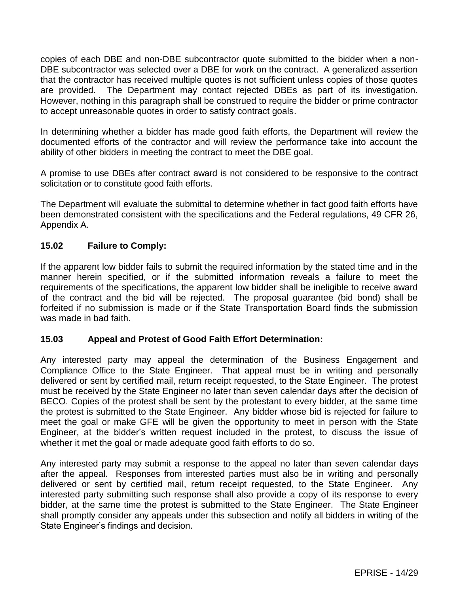copies of each DBE and non-DBE subcontractor quote submitted to the bidder when a non-DBE subcontractor was selected over a DBE for work on the contract. A generalized assertion that the contractor has received multiple quotes is not sufficient unless copies of those quotes are provided. The Department may contact rejected DBEs as part of its investigation. However, nothing in this paragraph shall be construed to require the bidder or prime contractor to accept unreasonable quotes in order to satisfy contract goals.

In determining whether a bidder has made good faith efforts, the Department will review the documented efforts of the contractor and will review the performance take into account the ability of other bidders in meeting the contract to meet the DBE goal.

A promise to use DBEs after contract award is not considered to be responsive to the contract solicitation or to constitute good faith efforts.

The Department will evaluate the submittal to determine whether in fact good faith efforts have been demonstrated consistent with the specifications and the Federal regulations, 49 CFR 26, Appendix A.

## **15.02 Failure to Comply:**

If the apparent low bidder fails to submit the required information by the stated time and in the manner herein specified, or if the submitted information reveals a failure to meet the requirements of the specifications, the apparent low bidder shall be ineligible to receive award of the contract and the bid will be rejected. The proposal guarantee (bid bond) shall be forfeited if no submission is made or if the State Transportation Board finds the submission was made in bad faith.

### **15.03 Appeal and Protest of Good Faith Effort Determination:**

Any interested party may appeal the determination of the Business Engagement and Compliance Office to the State Engineer. That appeal must be in writing and personally delivered or sent by certified mail, return receipt requested, to the State Engineer. The protest must be received by the State Engineer no later than seven calendar days after the decision of BECO. Copies of the protest shall be sent by the protestant to every bidder, at the same time the protest is submitted to the State Engineer. Any bidder whose bid is rejected for failure to meet the goal or make GFE will be given the opportunity to meet in person with the State Engineer, at the bidder's written request included in the protest, to discuss the issue of whether it met the goal or made adequate good faith efforts to do so.

Any interested party may submit a response to the appeal no later than seven calendar days after the appeal. Responses from interested parties must also be in writing and personally delivered or sent by certified mail, return receipt requested, to the State Engineer. Any interested party submitting such response shall also provide a copy of its response to every bidder, at the same time the protest is submitted to the State Engineer. The State Engineer shall promptly consider any appeals under this subsection and notify all bidders in writing of the State Engineer's findings and decision.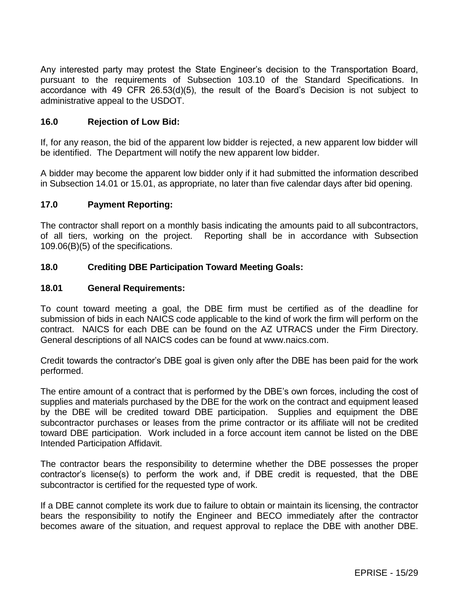Any interested party may protest the State Engineer's decision to the Transportation Board, pursuant to the requirements of Subsection 103.10 of the Standard Specifications. In accordance with 49 CFR 26.53(d)(5), the result of the Board's Decision is not subject to administrative appeal to the USDOT.

### **16.0 Rejection of Low Bid:**

If, for any reason, the bid of the apparent low bidder is rejected, a new apparent low bidder will be identified. The Department will notify the new apparent low bidder.

A bidder may become the apparent low bidder only if it had submitted the information described in Subsection 14.01 or 15.01, as appropriate, no later than five calendar days after bid opening.

### **17.0 Payment Reporting:**

The contractor shall report on a monthly basis indicating the amounts paid to all subcontractors, of all tiers, working on the project. Reporting shall be in accordance with Subsection 109.06(B)(5) of the specifications.

### **18.0 Crediting DBE Participation Toward Meeting Goals:**

### **18.01 General Requirements:**

To count toward meeting a goal, the DBE firm must be certified as of the deadline for submission of bids in each NAICS code applicable to the kind of work the firm will perform on the contract. NAICS for each DBE can be found on the AZ UTRACS under the Firm Directory. General descriptions of all NAICS codes can be found at www.naics.com.

Credit towards the contractor's DBE goal is given only after the DBE has been paid for the work performed.

The entire amount of a contract that is performed by the DBE's own forces, including the cost of supplies and materials purchased by the DBE for the work on the contract and equipment leased by the DBE will be credited toward DBE participation. Supplies and equipment the DBE subcontractor purchases or leases from the prime contractor or its affiliate will not be credited toward DBE participation. Work included in a force account item cannot be listed on the DBE Intended Participation Affidavit.

The contractor bears the responsibility to determine whether the DBE possesses the proper contractor's license(s) to perform the work and, if DBE credit is requested, that the DBE subcontractor is certified for the requested type of work.

If a DBE cannot complete its work due to failure to obtain or maintain its licensing, the contractor bears the responsibility to notify the Engineer and BECO immediately after the contractor becomes aware of the situation, and request approval to replace the DBE with another DBE.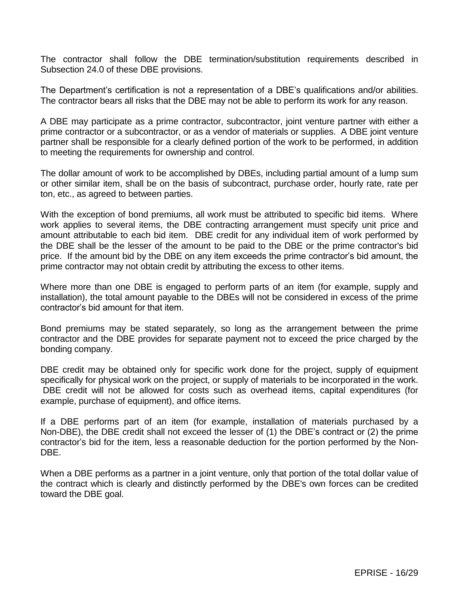The contractor shall follow the DBE termination/substitution requirements described in Subsection 24.0 of these DBE provisions.

The Department's certification is not a representation of a DBE's qualifications and/or abilities. The contractor bears all risks that the DBE may not be able to perform its work for any reason.

A DBE may participate as a prime contractor, subcontractor, joint venture partner with either a prime contractor or a subcontractor, or as a vendor of materials or supplies. A DBE joint venture partner shall be responsible for a clearly defined portion of the work to be performed, in addition to meeting the requirements for ownership and control.

The dollar amount of work to be accomplished by DBEs, including partial amount of a lump sum or other similar item, shall be on the basis of subcontract, purchase order, hourly rate, rate per ton, etc., as agreed to between parties.

With the exception of bond premiums, all work must be attributed to specific bid items. Where work applies to several items, the DBE contracting arrangement must specify unit price and amount attributable to each bid item. DBE credit for any individual item of work performed by the DBE shall be the lesser of the amount to be paid to the DBE or the prime contractor's bid price. If the amount bid by the DBE on any item exceeds the prime contractor's bid amount, the prime contractor may not obtain credit by attributing the excess to other items.

Where more than one DBE is engaged to perform parts of an item (for example, supply and installation), the total amount payable to the DBEs will not be considered in excess of the prime contractor's bid amount for that item.

Bond premiums may be stated separately, so long as the arrangement between the prime contractor and the DBE provides for separate payment not to exceed the price charged by the bonding company.

DBE credit may be obtained only for specific work done for the project, supply of equipment specifically for physical work on the project, or supply of materials to be incorporated in the work. DBE credit will not be allowed for costs such as overhead items, capital expenditures (for example, purchase of equipment), and office items.

If a DBE performs part of an item (for example, installation of materials purchased by a Non-DBE), the DBE credit shall not exceed the lesser of (1) the DBE's contract or (2) the prime contractor's bid for the item, less a reasonable deduction for the portion performed by the Non-DBE.

When a DBE performs as a partner in a joint venture, only that portion of the total dollar value of the contract which is clearly and distinctly performed by the DBE's own forces can be credited toward the DBE goal.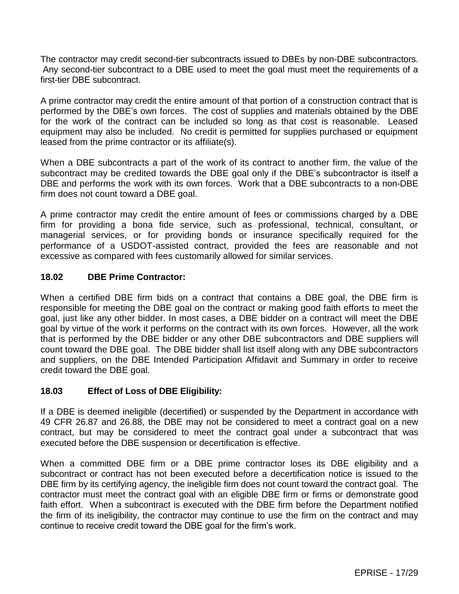The contractor may credit second-tier subcontracts issued to DBEs by non-DBE subcontractors. Any second-tier subcontract to a DBE used to meet the goal must meet the requirements of a first-tier DBE subcontract.

A prime contractor may credit the entire amount of that portion of a construction contract that is performed by the DBE's own forces. The cost of supplies and materials obtained by the DBE for the work of the contract can be included so long as that cost is reasonable. Leased equipment may also be included. No credit is permitted for supplies purchased or equipment leased from the prime contractor or its affiliate(s).

When a DBE subcontracts a part of the work of its contract to another firm, the value of the subcontract may be credited towards the DBE goal only if the DBE's subcontractor is itself a DBE and performs the work with its own forces. Work that a DBE subcontracts to a non-DBE firm does not count toward a DBE goal.

A prime contractor may credit the entire amount of fees or commissions charged by a DBE firm for providing a bona fide service, such as professional, technical, consultant, or managerial services, or for providing bonds or insurance specifically required for the performance of a USDOT-assisted contract, provided the fees are reasonable and not excessive as compared with fees customarily allowed for similar services.

## **18.02 DBE Prime Contractor:**

When a certified DBE firm bids on a contract that contains a DBE goal, the DBE firm is responsible for meeting the DBE goal on the contract or making good faith efforts to meet the goal, just like any other bidder. In most cases, a DBE bidder on a contract will meet the DBE goal by virtue of the work it performs on the contract with its own forces. However, all the work that is performed by the DBE bidder or any other DBE subcontractors and DBE suppliers will count toward the DBE goal. The DBE bidder shall list itself along with any DBE subcontractors and suppliers, on the DBE Intended Participation Affidavit and Summary in order to receive credit toward the DBE goal.

### **18.03 Effect of Loss of DBE Eligibility:**

If a DBE is deemed ineligible (decertified) or suspended by the Department in accordance with 49 CFR 26.87 and 26.88, the DBE may not be considered to meet a contract goal on a new contract, but may be considered to meet the contract goal under a subcontract that was executed before the DBE suspension or decertification is effective.

When a committed DBE firm or a DBE prime contractor loses its DBE eligibility and a subcontract or contract has not been executed before a decertification notice is issued to the DBE firm by its certifying agency, the ineligible firm does not count toward the contract goal. The contractor must meet the contract goal with an eligible DBE firm or firms or demonstrate good faith effort. When a subcontract is executed with the DBE firm before the Department notified the firm of its ineligibility, the contractor may continue to use the firm on the contract and may continue to receive credit toward the DBE goal for the firm's work.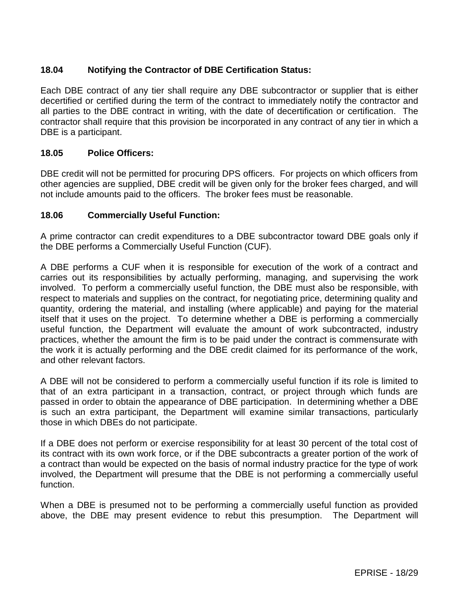# **18.04 Notifying the Contractor of DBE Certification Status:**

Each DBE contract of any tier shall require any DBE subcontractor or supplier that is either decertified or certified during the term of the contract to immediately notify the contractor and all parties to the DBE contract in writing, with the date of decertification or certification. The contractor shall require that this provision be incorporated in any contract of any tier in which a DBE is a participant.

### **18.05 Police Officers:**

DBE credit will not be permitted for procuring DPS officers. For projects on which officers from other agencies are supplied, DBE credit will be given only for the broker fees charged, and will not include amounts paid to the officers. The broker fees must be reasonable.

#### **18.06 Commercially Useful Function:**

A prime contractor can credit expenditures to a DBE subcontractor toward DBE goals only if the DBE performs a Commercially Useful Function (CUF).

A DBE performs a CUF when it is responsible for execution of the work of a contract and carries out its responsibilities by actually performing, managing, and supervising the work involved. To perform a commercially useful function, the DBE must also be responsible, with respect to materials and supplies on the contract, for negotiating price, determining quality and quantity, ordering the material, and installing (where applicable) and paying for the material itself that it uses on the project. To determine whether a DBE is performing a commercially useful function, the Department will evaluate the amount of work subcontracted, industry practices, whether the amount the firm is to be paid under the contract is commensurate with the work it is actually performing and the DBE credit claimed for its performance of the work, and other relevant factors.

A DBE will not be considered to perform a commercially useful function if its role is limited to that of an extra participant in a transaction, contract, or project through which funds are passed in order to obtain the appearance of DBE participation. In determining whether a DBE is such an extra participant, the Department will examine similar transactions, particularly those in which DBEs do not participate.

If a DBE does not perform or exercise responsibility for at least 30 percent of the total cost of its contract with its own work force, or if the DBE subcontracts a greater portion of the work of a contract than would be expected on the basis of normal industry practice for the type of work involved, the Department will presume that the DBE is not performing a commercially useful function.

When a DBE is presumed not to be performing a commercially useful function as provided above, the DBE may present evidence to rebut this presumption. The Department will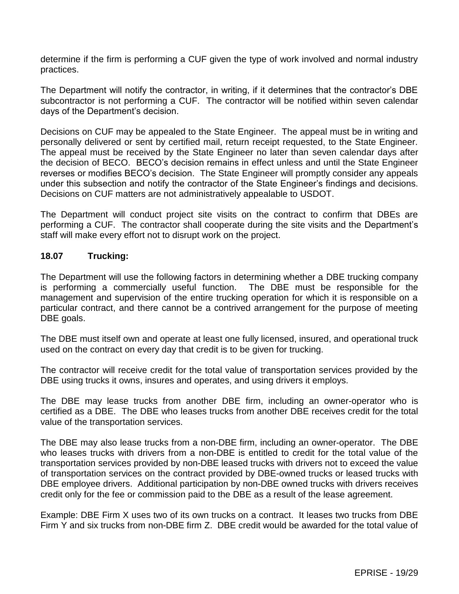determine if the firm is performing a CUF given the type of work involved and normal industry practices.

The Department will notify the contractor, in writing, if it determines that the contractor's DBE subcontractor is not performing a CUF. The contractor will be notified within seven calendar days of the Department's decision.

Decisions on CUF may be appealed to the State Engineer. The appeal must be in writing and personally delivered or sent by certified mail, return receipt requested, to the State Engineer. The appeal must be received by the State Engineer no later than seven calendar days after the decision of BECO. BECO's decision remains in effect unless and until the State Engineer reverses or modifies BECO's decision. The State Engineer will promptly consider any appeals under this subsection and notify the contractor of the State Engineer's findings and decisions. Decisions on CUF matters are not administratively appealable to USDOT.

The Department will conduct project site visits on the contract to confirm that DBEs are performing a CUF. The contractor shall cooperate during the site visits and the Department's staff will make every effort not to disrupt work on the project.

### **18.07 Trucking:**

The Department will use the following factors in determining whether a DBE trucking company is performing a commercially useful function. The DBE must be responsible for the management and supervision of the entire trucking operation for which it is responsible on a particular contract, and there cannot be a contrived arrangement for the purpose of meeting DBE goals.

The DBE must itself own and operate at least one fully licensed, insured, and operational truck used on the contract on every day that credit is to be given for trucking.

The contractor will receive credit for the total value of transportation services provided by the DBE using trucks it owns, insures and operates, and using drivers it employs.

The DBE may lease trucks from another DBE firm, including an owner-operator who is certified as a DBE. The DBE who leases trucks from another DBE receives credit for the total value of the transportation services.

The DBE may also lease trucks from a non-DBE firm, including an owner-operator. The DBE who leases trucks with drivers from a non-DBE is entitled to credit for the total value of the transportation services provided by non-DBE leased trucks with drivers not to exceed the value of transportation services on the contract provided by DBE-owned trucks or leased trucks with DBE employee drivers. Additional participation by non-DBE owned trucks with drivers receives credit only for the fee or commission paid to the DBE as a result of the lease agreement.

Example: DBE Firm X uses two of its own trucks on a contract. It leases two trucks from DBE Firm Y and six trucks from non-DBE firm Z. DBE credit would be awarded for the total value of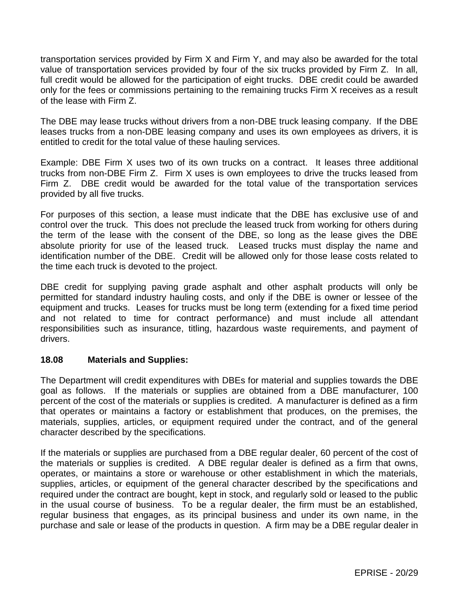transportation services provided by Firm X and Firm Y, and may also be awarded for the total value of transportation services provided by four of the six trucks provided by Firm Z. In all, full credit would be allowed for the participation of eight trucks. DBE credit could be awarded only for the fees or commissions pertaining to the remaining trucks Firm X receives as a result of the lease with Firm Z.

The DBE may lease trucks without drivers from a non-DBE truck leasing company. If the DBE leases trucks from a non-DBE leasing company and uses its own employees as drivers, it is entitled to credit for the total value of these hauling services.

Example: DBE Firm X uses two of its own trucks on a contract. It leases three additional trucks from non-DBE Firm Z. Firm X uses is own employees to drive the trucks leased from Firm Z. DBE credit would be awarded for the total value of the transportation services provided by all five trucks.

For purposes of this section, a lease must indicate that the DBE has exclusive use of and control over the truck. This does not preclude the leased truck from working for others during the term of the lease with the consent of the DBE, so long as the lease gives the DBE absolute priority for use of the leased truck. Leased trucks must display the name and identification number of the DBE. Credit will be allowed only for those lease costs related to the time each truck is devoted to the project.

DBE credit for supplying paving grade asphalt and other asphalt products will only be permitted for standard industry hauling costs, and only if the DBE is owner or lessee of the equipment and trucks. Leases for trucks must be long term (extending for a fixed time period and not related to time for contract performance) and must include all attendant responsibilities such as insurance, titling, hazardous waste requirements, and payment of drivers.

### **18.08 Materials and Supplies:**

The Department will credit expenditures with DBEs for material and supplies towards the DBE goal as follows. If the materials or supplies are obtained from a DBE manufacturer, 100 percent of the cost of the materials or supplies is credited. A manufacturer is defined as a firm that operates or maintains a factory or establishment that produces, on the premises, the materials, supplies, articles, or equipment required under the contract, and of the general character described by the specifications.

If the materials or supplies are purchased from a DBE regular dealer, 60 percent of the cost of the materials or supplies is credited. A DBE regular dealer is defined as a firm that owns, operates, or maintains a store or warehouse or other establishment in which the materials, supplies, articles, or equipment of the general character described by the specifications and required under the contract are bought, kept in stock, and regularly sold or leased to the public in the usual course of business. To be a regular dealer, the firm must be an established, regular business that engages, as its principal business and under its own name, in the purchase and sale or lease of the products in question. A firm may be a DBE regular dealer in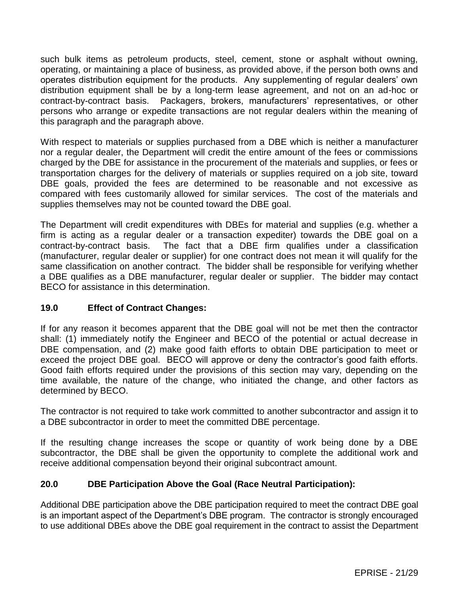such bulk items as petroleum products, steel, cement, stone or asphalt without owning, operating, or maintaining a place of business, as provided above, if the person both owns and operates distribution equipment for the products. Any supplementing of regular dealers' own distribution equipment shall be by a long-term lease agreement, and not on an ad-hoc or contract-by-contract basis. Packagers, brokers, manufacturers' representatives, or other persons who arrange or expedite transactions are not regular dealers within the meaning of this paragraph and the paragraph above.

With respect to materials or supplies purchased from a DBE which is neither a manufacturer nor a regular dealer, the Department will credit the entire amount of the fees or commissions charged by the DBE for assistance in the procurement of the materials and supplies, or fees or transportation charges for the delivery of materials or supplies required on a job site, toward DBE goals, provided the fees are determined to be reasonable and not excessive as compared with fees customarily allowed for similar services. The cost of the materials and supplies themselves may not be counted toward the DBE goal.

The Department will credit expenditures with DBEs for material and supplies (e.g. whether a firm is acting as a regular dealer or a transaction expediter) towards the DBE goal on a contract-by-contract basis. The fact that a DBE firm qualifies under a classification (manufacturer, regular dealer or supplier) for one contract does not mean it will qualify for the same classification on another contract. The bidder shall be responsible for verifying whether a DBE qualifies as a DBE manufacturer, regular dealer or supplier. The bidder may contact BECO for assistance in this determination.

# **19.0 Effect of Contract Changes:**

If for any reason it becomes apparent that the DBE goal will not be met then the contractor shall: (1) immediately notify the Engineer and BECO of the potential or actual decrease in DBE compensation, and (2) make good faith efforts to obtain DBE participation to meet or exceed the project DBE goal. BECO will approve or deny the contractor's good faith efforts. Good faith efforts required under the provisions of this section may vary, depending on the time available, the nature of the change, who initiated the change, and other factors as determined by BECO.

The contractor is not required to take work committed to another subcontractor and assign it to a DBE subcontractor in order to meet the committed DBE percentage.

If the resulting change increases the scope or quantity of work being done by a DBE subcontractor, the DBE shall be given the opportunity to complete the additional work and receive additional compensation beyond their original subcontract amount.

# **20.0 DBE Participation Above the Goal (Race Neutral Participation):**

Additional DBE participation above the DBE participation required to meet the contract DBE goal is an important aspect of the Department's DBE program. The contractor is strongly encouraged to use additional DBEs above the DBE goal requirement in the contract to assist the Department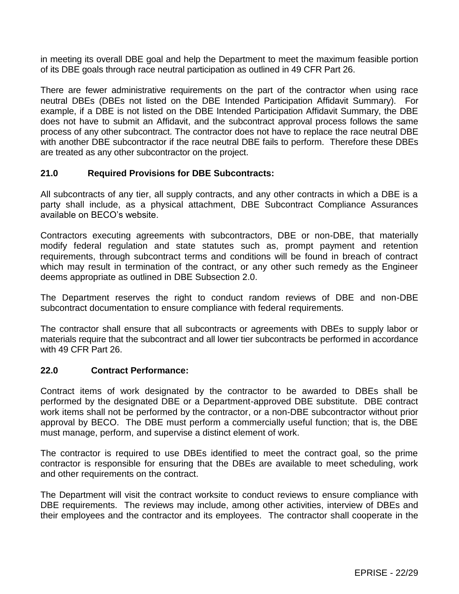in meeting its overall DBE goal and help the Department to meet the maximum feasible portion of its DBE goals through race neutral participation as outlined in 49 CFR Part 26.

There are fewer administrative requirements on the part of the contractor when using race neutral DBEs (DBEs not listed on the DBE Intended Participation Affidavit Summary). For example, if a DBE is not listed on the DBE Intended Participation Affidavit Summary, the DBE does not have to submit an Affidavit, and the subcontract approval process follows the same process of any other subcontract. The contractor does not have to replace the race neutral DBE with another DBE subcontractor if the race neutral DBE fails to perform. Therefore these DBEs are treated as any other subcontractor on the project.

### **21.0 Required Provisions for DBE Subcontracts:**

All subcontracts of any tier, all supply contracts, and any other contracts in which a DBE is a party shall include, as a physical attachment, DBE Subcontract Compliance Assurances available on BECO's website.

Contractors executing agreements with subcontractors, DBE or non-DBE, that materially modify federal regulation and state statutes such as, prompt payment and retention requirements, through subcontract terms and conditions will be found in breach of contract which may result in termination of the contract, or any other such remedy as the Engineer deems appropriate as outlined in DBE Subsection 2.0.

The Department reserves the right to conduct random reviews of DBE and non-DBE subcontract documentation to ensure compliance with federal requirements.

The contractor shall ensure that all subcontracts or agreements with DBEs to supply labor or materials require that the subcontract and all lower tier subcontracts be performed in accordance with 49 CFR Part 26.

### **22.0 Contract Performance:**

Contract items of work designated by the contractor to be awarded to DBEs shall be performed by the designated DBE or a Department-approved DBE substitute. DBE contract work items shall not be performed by the contractor, or a non-DBE subcontractor without prior approval by BECO. The DBE must perform a commercially useful function; that is, the DBE must manage, perform, and supervise a distinct element of work.

The contractor is required to use DBEs identified to meet the contract goal, so the prime contractor is responsible for ensuring that the DBEs are available to meet scheduling, work and other requirements on the contract.

The Department will visit the contract worksite to conduct reviews to ensure compliance with DBE requirements. The reviews may include, among other activities, interview of DBEs and their employees and the contractor and its employees. The contractor shall cooperate in the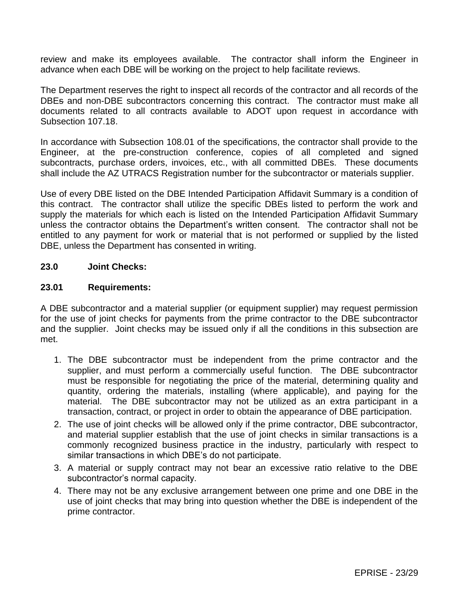review and make its employees available. The contractor shall inform the Engineer in advance when each DBE will be working on the project to help facilitate reviews.

The Department reserves the right to inspect all records of the contractor and all records of the DBEs and non-DBE subcontractors concerning this contract. The contractor must make all documents related to all contracts available to ADOT upon request in accordance with Subsection 107.18.

In accordance with Subsection 108.01 of the specifications, the contractor shall provide to the Engineer, at the pre-construction conference, copies of all completed and signed subcontracts, purchase orders, invoices, etc., with all committed DBEs. These documents shall include the AZ UTRACS Registration number for the subcontractor or materials supplier.

Use of every DBE listed on the DBE Intended Participation Affidavit Summary is a condition of this contract. The contractor shall utilize the specific DBEs listed to perform the work and supply the materials for which each is listed on the Intended Participation Affidavit Summary unless the contractor obtains the Department's written consent. The contractor shall not be entitled to any payment for work or material that is not performed or supplied by the listed DBE, unless the Department has consented in writing.

### **23.0 Joint Checks:**

#### **23.01 Requirements:**

A DBE subcontractor and a material supplier (or equipment supplier) may request permission for the use of joint checks for payments from the prime contractor to the DBE subcontractor and the supplier. Joint checks may be issued only if all the conditions in this subsection are met.

- 1. The DBE subcontractor must be independent from the prime contractor and the supplier, and must perform a commercially useful function. The DBE subcontractor must be responsible for negotiating the price of the material, determining quality and quantity, ordering the materials, installing (where applicable), and paying for the material. The DBE subcontractor may not be utilized as an extra participant in a transaction, contract, or project in order to obtain the appearance of DBE participation.
- 2. The use of joint checks will be allowed only if the prime contractor, DBE subcontractor, and material supplier establish that the use of joint checks in similar transactions is a commonly recognized business practice in the industry, particularly with respect to similar transactions in which DBE's do not participate.
- 3. A material or supply contract may not bear an excessive ratio relative to the DBE subcontractor's normal capacity.
- 4. There may not be any exclusive arrangement between one prime and one DBE in the use of joint checks that may bring into question whether the DBE is independent of the prime contractor.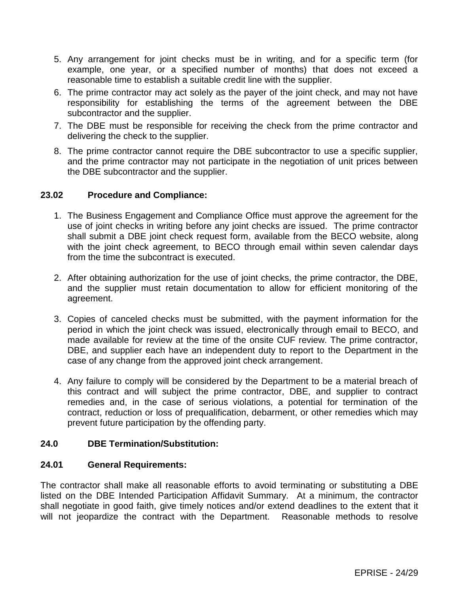- 5. Any arrangement for joint checks must be in writing, and for a specific term (for example, one year, or a specified number of months) that does not exceed a reasonable time to establish a suitable credit line with the supplier.
- 6. The prime contractor may act solely as the payer of the joint check, and may not have responsibility for establishing the terms of the agreement between the DBE subcontractor and the supplier.
- 7. The DBE must be responsible for receiving the check from the prime contractor and delivering the check to the supplier.
- 8. The prime contractor cannot require the DBE subcontractor to use a specific supplier, and the prime contractor may not participate in the negotiation of unit prices between the DBE subcontractor and the supplier.

### **23.02 Procedure and Compliance:**

- 1. The Business Engagement and Compliance Office must approve the agreement for the use of joint checks in writing before any joint checks are issued. The prime contractor shall submit a DBE joint check request form, available from the BECO website, along with the joint check agreement, to BECO through email within seven calendar days from the time the subcontract is executed.
- 2. After obtaining authorization for the use of joint checks, the prime contractor, the DBE, and the supplier must retain documentation to allow for efficient monitoring of the agreement.
- 3. Copies of canceled checks must be submitted, with the payment information for the period in which the joint check was issued, electronically through email to BECO, and made available for review at the time of the onsite CUF review. The prime contractor, DBE, and supplier each have an independent duty to report to the Department in the case of any change from the approved joint check arrangement.
- 4. Any failure to comply will be considered by the Department to be a material breach of this contract and will subject the prime contractor, DBE, and supplier to contract remedies and, in the case of serious violations, a potential for termination of the contract, reduction or loss of prequalification, debarment, or other remedies which may prevent future participation by the offending party.

### **24.0 DBE Termination/Substitution:**

### **24.01 General Requirements:**

The contractor shall make all reasonable efforts to avoid terminating or substituting a DBE listed on the DBE Intended Participation Affidavit Summary. At a minimum, the contractor shall negotiate in good faith, give timely notices and/or extend deadlines to the extent that it will not jeopardize the contract with the Department. Reasonable methods to resolve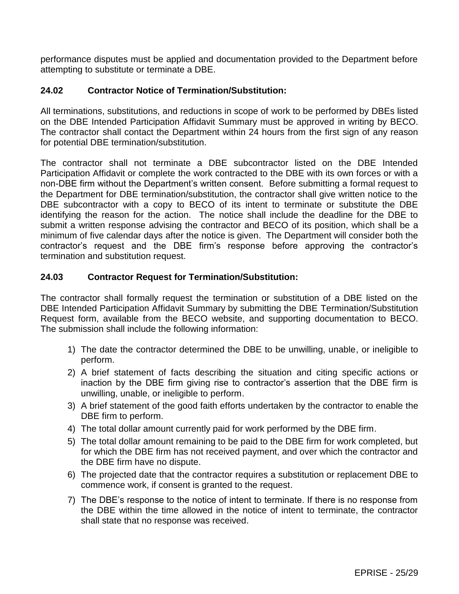performance disputes must be applied and documentation provided to the Department before attempting to substitute or terminate a DBE.

### **24.02 Contractor Notice of Termination/Substitution:**

All terminations, substitutions, and reductions in scope of work to be performed by DBEs listed on the DBE Intended Participation Affidavit Summary must be approved in writing by BECO. The contractor shall contact the Department within 24 hours from the first sign of any reason for potential DBE termination/substitution.

The contractor shall not terminate a DBE subcontractor listed on the DBE Intended Participation Affidavit or complete the work contracted to the DBE with its own forces or with a non-DBE firm without the Department's written consent. Before submitting a formal request to the Department for DBE termination/substitution, the contractor shall give written notice to the DBE subcontractor with a copy to BECO of its intent to terminate or substitute the DBE identifying the reason for the action. The notice shall include the deadline for the DBE to submit a written response advising the contractor and BECO of its position, which shall be a minimum of five calendar days after the notice is given. The Department will consider both the contractor's request and the DBE firm's response before approving the contractor's termination and substitution request.

## **24.03 Contractor Request for Termination/Substitution:**

The contractor shall formally request the termination or substitution of a DBE listed on the DBE Intended Participation Affidavit Summary by submitting the DBE Termination/Substitution Request form, available from the BECO website, and supporting documentation to BECO. The submission shall include the following information:

- 1) The date the contractor determined the DBE to be unwilling, unable, or ineligible to perform.
- 2) A brief statement of facts describing the situation and citing specific actions or inaction by the DBE firm giving rise to contractor's assertion that the DBE firm is unwilling, unable, or ineligible to perform.
- 3) A brief statement of the good faith efforts undertaken by the contractor to enable the DBE firm to perform.
- 4) The total dollar amount currently paid for work performed by the DBE firm.
- 5) The total dollar amount remaining to be paid to the DBE firm for work completed, but for which the DBE firm has not received payment, and over which the contractor and the DBE firm have no dispute.
- 6) The projected date that the contractor requires a substitution or replacement DBE to commence work, if consent is granted to the request.
- 7) The DBE's response to the notice of intent to terminate. If there is no response from the DBE within the time allowed in the notice of intent to terminate, the contractor shall state that no response was received.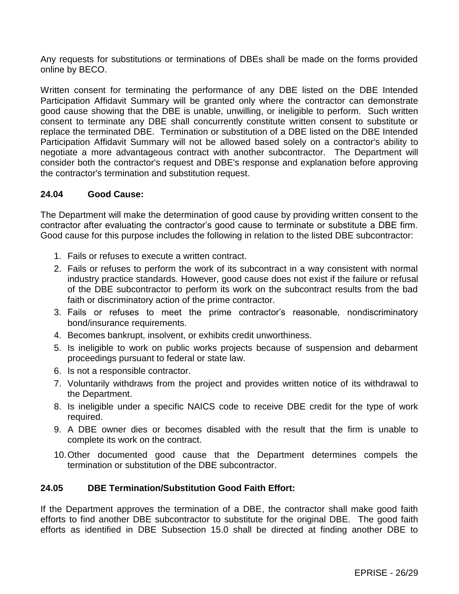Any requests for substitutions or terminations of DBEs shall be made on the forms provided online by BECO.

Written consent for terminating the performance of any DBE listed on the DBE Intended Participation Affidavit Summary will be granted only where the contractor can demonstrate good cause showing that the DBE is unable, unwilling, or ineligible to perform. Such written consent to terminate any DBE shall concurrently constitute written consent to substitute or replace the terminated DBE. Termination or substitution of a DBE listed on the DBE Intended Participation Affidavit Summary will not be allowed based solely on a contractor's ability to negotiate a more advantageous contract with another subcontractor. The Department will consider both the contractor's request and DBE's response and explanation before approving the contractor's termination and substitution request.

## **24.04 Good Cause:**

The Department will make the determination of good cause by providing written consent to the contractor after evaluating the contractor's good cause to terminate or substitute a DBE firm. Good cause for this purpose includes the following in relation to the listed DBE subcontractor:

- 1. Fails or refuses to execute a written contract.
- 2. Fails or refuses to perform the work of its subcontract in a way consistent with normal industry practice standards. However, good cause does not exist if the failure or refusal of the DBE subcontractor to perform its work on the subcontract results from the bad faith or discriminatory action of the prime contractor.
- 3. Fails or refuses to meet the prime contractor's reasonable, nondiscriminatory bond/insurance requirements.
- 4. Becomes bankrupt, insolvent, or exhibits credit unworthiness.
- 5. Is ineligible to work on public works projects because of suspension and debarment proceedings pursuant to federal or state law.
- 6. Is not a responsible contractor.
- 7. Voluntarily withdraws from the project and provides written notice of its withdrawal to the Department.
- 8. Is ineligible under a specific NAICS code to receive DBE credit for the type of work required.
- 9. A DBE owner dies or becomes disabled with the result that the firm is unable to complete its work on the contract.
- 10.Other documented good cause that the Department determines compels the termination or substitution of the DBE subcontractor.

### **24.05 DBE Termination/Substitution Good Faith Effort:**

If the Department approves the termination of a DBE, the contractor shall make good faith efforts to find another DBE subcontractor to substitute for the original DBE. The good faith efforts as identified in DBE Subsection 15.0 shall be directed at finding another DBE to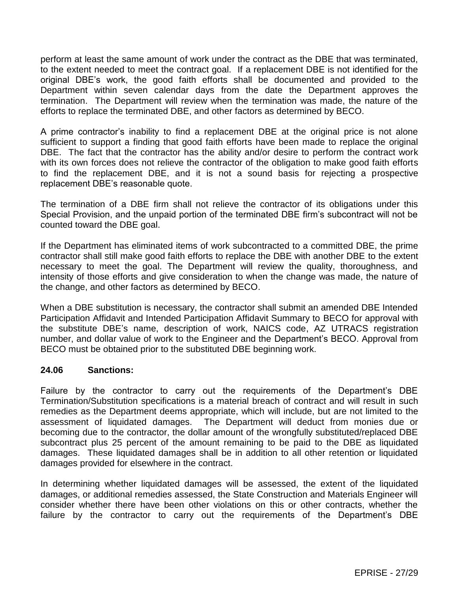perform at least the same amount of work under the contract as the DBE that was terminated, to the extent needed to meet the contract goal. If a replacement DBE is not identified for the original DBE's work, the good faith efforts shall be documented and provided to the Department within seven calendar days from the date the Department approves the termination. The Department will review when the termination was made, the nature of the efforts to replace the terminated DBE, and other factors as determined by BECO.

A prime contractor's inability to find a replacement DBE at the original price is not alone sufficient to support a finding that good faith efforts have been made to replace the original DBE. The fact that the contractor has the ability and/or desire to perform the contract work with its own forces does not relieve the contractor of the obligation to make good faith efforts to find the replacement DBE, and it is not a sound basis for rejecting a prospective replacement DBE's reasonable quote.

The termination of a DBE firm shall not relieve the contractor of its obligations under this Special Provision, and the unpaid portion of the terminated DBE firm's subcontract will not be counted toward the DBE goal.

If the Department has eliminated items of work subcontracted to a committed DBE, the prime contractor shall still make good faith efforts to replace the DBE with another DBE to the extent necessary to meet the goal. The Department will review the quality, thoroughness, and intensity of those efforts and give consideration to when the change was made, the nature of the change, and other factors as determined by BECO.

When a DBE substitution is necessary, the contractor shall submit an amended DBE Intended Participation Affidavit and Intended Participation Affidavit Summary to BECO for approval with the substitute DBE's name, description of work, NAICS code, AZ UTRACS registration number, and dollar value of work to the Engineer and the Department's BECO. Approval from BECO must be obtained prior to the substituted DBE beginning work.

### **24.06 Sanctions:**

Failure by the contractor to carry out the requirements of the Department's DBE Termination/Substitution specifications is a material breach of contract and will result in such remedies as the Department deems appropriate, which will include, but are not limited to the assessment of liquidated damages. The Department will deduct from monies due or becoming due to the contractor, the dollar amount of the wrongfully substituted/replaced DBE subcontract plus 25 percent of the amount remaining to be paid to the DBE as liquidated damages. These liquidated damages shall be in addition to all other retention or liquidated damages provided for elsewhere in the contract.

In determining whether liquidated damages will be assessed, the extent of the liquidated damages, or additional remedies assessed, the State Construction and Materials Engineer will consider whether there have been other violations on this or other contracts, whether the failure by the contractor to carry out the requirements of the Department's DBE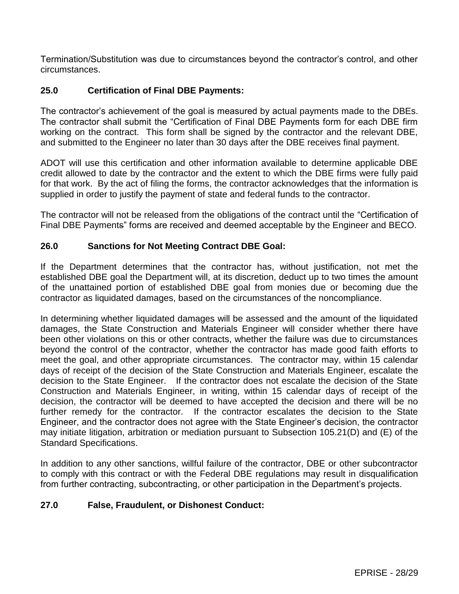Termination/Substitution was due to circumstances beyond the contractor's control, and other circumstances.

## **25.0 Certification of Final DBE Payments:**

The contractor's achievement of the goal is measured by actual payments made to the DBEs. The contractor shall submit the "Certification of Final DBE Payments form for each DBE firm working on the contract. This form shall be signed by the contractor and the relevant DBE, and submitted to the Engineer no later than 30 days after the DBE receives final payment.

ADOT will use this certification and other information available to determine applicable DBE credit allowed to date by the contractor and the extent to which the DBE firms were fully paid for that work. By the act of filing the forms, the contractor acknowledges that the information is supplied in order to justify the payment of state and federal funds to the contractor.

The contractor will not be released from the obligations of the contract until the "Certification of Final DBE Payments" forms are received and deemed acceptable by the Engineer and BECO.

### **26.0 Sanctions for Not Meeting Contract DBE Goal:**

If the Department determines that the contractor has, without justification, not met the established DBE goal the Department will, at its discretion, deduct up to two times the amount of the unattained portion of established DBE goal from monies due or becoming due the contractor as liquidated damages, based on the circumstances of the noncompliance.

In determining whether liquidated damages will be assessed and the amount of the liquidated damages, the State Construction and Materials Engineer will consider whether there have been other violations on this or other contracts, whether the failure was due to circumstances beyond the control of the contractor, whether the contractor has made good faith efforts to meet the goal, and other appropriate circumstances. The contractor may, within 15 calendar days of receipt of the decision of the State Construction and Materials Engineer, escalate the decision to the State Engineer. If the contractor does not escalate the decision of the State Construction and Materials Engineer, in writing, within 15 calendar days of receipt of the decision, the contractor will be deemed to have accepted the decision and there will be no further remedy for the contractor. If the contractor escalates the decision to the State Engineer, and the contractor does not agree with the State Engineer's decision, the contractor may initiate litigation, arbitration or mediation pursuant to Subsection 105.21(D) and (E) of the Standard Specifications.

In addition to any other sanctions, willful failure of the contractor, DBE or other subcontractor to comply with this contract or with the Federal DBE regulations may result in disqualification from further contracting, subcontracting, or other participation in the Department's projects.

### **27.0 False, Fraudulent, or Dishonest Conduct:**